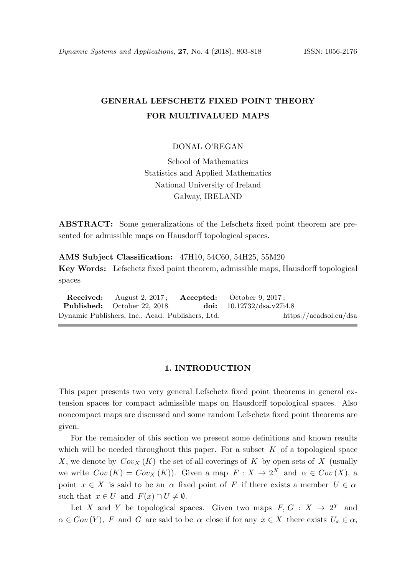# GENERAL LEFSCHETZ FIXED POINT THEORY FOR MULTIVALUED MAPS

## DONAL O'REGAN

School of Mathematics Statistics and Applied Mathematics National University of Ireland Galway, IRELAND

ABSTRACT: Some generalizations of the Lefschetz fixed point theorem are presented for admissible maps on Hausdorff topological spaces.

AMS Subject Classification: 47H10, 54C60, 54H25, 55M20

Key Words: Lefschetz fixed point theorem, admissible maps, Hausdorff topological spaces

Received: August 2, 2017; Accepted: October 9, 2017; Published: October 22, 2018. doi: 10.12732/dsa.v27i4.8 Dynamic Publishers, Inc., Acad. Publishers, Ltd. https://acadsol.eu/dsa

### 1. INTRODUCTION

This paper presents two very general Lefschetz fixed point theorems in general extension spaces for compact admissible maps on Hausdorff topological spaces. Also noncompact maps are discussed and some random Lefschetz fixed point theorems are given.

For the remainder of this section we present some definitions and known results which will be needed throughout this paper. For a subset  $K$  of a topological space X, we denote by  $Cov_X(K)$  the set of all coverings of K by open sets of X (usually we write  $Cov(K) = Cov_X(K)$ . Given a map  $F: X \to 2^X$  and  $\alpha \in Cov(X)$ , a point  $x \in X$  is said to be an  $\alpha$ -fixed point of F if there exists a member  $U \in \alpha$ such that  $x \in U$  and  $F(x) \cap U \neq \emptyset$ .

Let X and Y be topological spaces. Given two maps  $F, G: X \to 2^Y$  and  $\alpha \in Cov(Y)$ , F and G are said to be  $\alpha$ –close if for any  $x \in X$  there exists  $U_x \in \alpha$ ,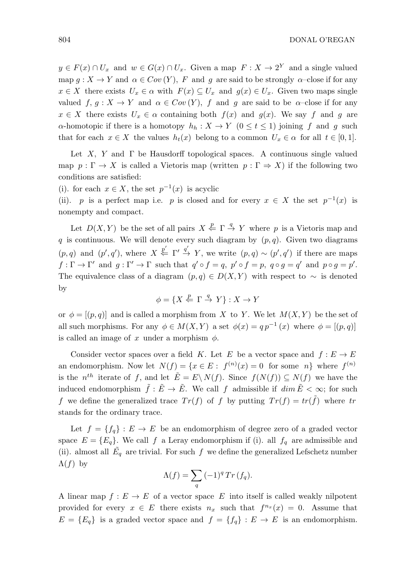$y \in F(x) \cap U_x$  and  $w \in G(x) \cap U_x$ . Given a map  $F: X \to 2^Y$  and a single valued map  $g: X \to Y$  and  $\alpha \in Cov(Y)$ , F and g are said to be strongly  $\alpha$ -close if for any  $x \in X$  there exists  $U_x \in \alpha$  with  $F(x) \subseteq U_x$  and  $g(x) \in U_x$ . Given two maps single valued  $f, g: X \to Y$  and  $\alpha \in Cov(Y)$ , f and g are said to be  $\alpha$ -close if for any  $x \in X$  there exists  $U_x \in \alpha$  containing both  $f(x)$  and  $g(x)$ . We say f and g are  $\alpha$ -homotopic if there is a homotopy  $h_h: X \to Y$   $(0 \le t \le 1)$  joining f and g such that for each  $x \in X$  the values  $h_t(x)$  belong to a common  $U_x \in \alpha$  for all  $t \in [0,1]$ .

Let  $X$ , Y and  $\Gamma$  be Hausdorff topological spaces. A continuous single valued map  $p : \Gamma \to X$  is called a Vietoris map (written  $p : \Gamma \to X$ ) if the following two conditions are satisfied:

(i). for each  $x \in X$ , the set  $p^{-1}(x)$  is acyclic

(ii). p is a perfect map i.e. p is closed and for every  $x \in X$  the set  $p^{-1}(x)$  is nonempty and compact.

Let  $D(X, Y)$  be the set of all pairs  $X \stackrel{p}{\leftarrow} \Gamma \stackrel{q}{\rightarrow} Y$  where p is a Vietoris map and q is continuous. We will denote every such diagram by  $(p, q)$ . Given two diagrams  $(p,q)$  and  $(p',q')$ , where  $X \stackrel{p'}{\leftarrow} \Gamma' \stackrel{q'}{\rightarrow} Y$ , we write  $(p,q) \sim (p',q')$  if there are maps  $f: \Gamma \to \Gamma'$  and  $g: \Gamma' \to \Gamma$  such that  $q' \circ f = q$ ,  $p' \circ f = p$ ,  $q \circ g = q'$  and  $p \circ g = p'$ . The equivalence class of a diagram  $(p, q) \in D(X, Y)$  with respect to  $\sim$  is denoted by

$$
\phi = \{ X \stackrel{p}{\leftarrow} \Gamma \stackrel{q}{\rightarrow} Y \} : X \to Y
$$

or  $\phi = [(p, q)]$  and is called a morphism from X to Y. We let  $M(X, Y)$  be the set of all such morphisms. For any  $\phi \in M(X,Y)$  a set  $\phi(x) = q p^{-1}(x)$  where  $\phi = [(p,q)]$ is called an image of x under a morphism  $\phi$ .

Consider vector spaces over a field K. Let E be a vector space and  $f: E \to E$ an endomorphism. Now let  $N(f) = \{x \in E: f^{(n)}(x) = 0 \text{ for some } n\}$  where  $f^{(n)}$ is the  $n^{th}$  iterate of f, and let  $\tilde{E} = E \setminus N(f)$ . Since  $f(N(f)) \subseteq N(f)$  we have the induced endomorphism  $\tilde{f}: \tilde{E} \to \tilde{E}$ . We call f admissible if  $\dim \tilde{E} < \infty$ ; for such f we define the generalized trace  $Tr(f)$  of f by putting  $Tr(f) = tr(\tilde{f})$  where tr stands for the ordinary trace.

Let  $f = \{f_q\} : E \to E$  be an endomorphism of degree zero of a graded vector space  $E = \{E_q\}$ . We call f a Leray endomorphism if (i). all  $f_q$  are admissible and (ii). almost all  $\tilde{E_q}$  are trivial. For such f we define the generalized Lefschetz number  $\Lambda(f)$  by

$$
\Lambda(f) = \sum_{q} (-1)^{q} Tr(f_{q}).
$$

A linear map  $f: E \to E$  of a vector space E into itself is called weakly nilpotent provided for every  $x \in E$  there exists  $n_x$  such that  $f^{n_x}(x) = 0$ . Assume that  $E = \{E_q\}$  is a graded vector space and  $f = \{f_q\} : E \to E$  is an endomorphism.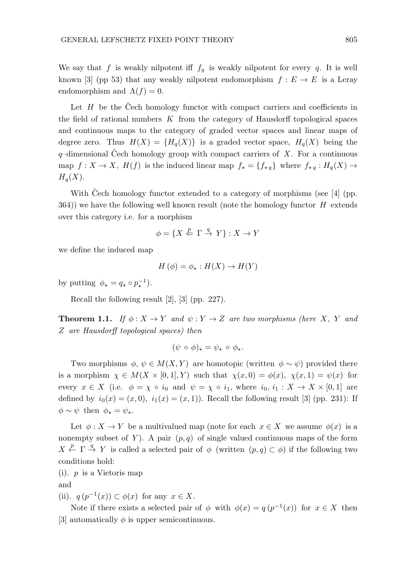We say that f is weakly nilpotent iff  $f_q$  is weakly nilpotent for every q. It is well known [3] (pp 53) that any weakly nilpotent endomorphism  $f : E \to E$  is a Leray endomorphism and  $\Lambda(f) = 0$ .

Let  $H$  be the Čech homology functor with compact carriers and coefficients in the field of rational numbers  $K$  from the category of Hausdorff topological spaces and continuous maps to the category of graded vector spaces and linear maps of degree zero. Thus  $H(X) = {H_q(X)}$  is a graded vector space,  $H_q(X)$  being the  $q$ -dimensional Cech homology group with compact carriers of  $X$ . For a continuous map  $f: X \to X$ ,  $H(f)$  is the induced linear map  $f_{\star} = \{f_{\star q}\}\$  where  $f_{\star q}: H_q(X) \to$  $H_q(X)$ .

With Čech homology functor extended to a category of morphisms (see  $[4]$  (pp.  $364$ )) we have the following well known result (note the homology functor  $H$  extends over this category i.e. for a morphism

$$
\phi = \{ X \stackrel{p}{\leftarrow} \Gamma \stackrel{q}{\rightarrow} Y \} : X \to Y
$$

we define the induced map

$$
H(\phi) = \phi_{\star} : H(X) \to H(Y)
$$

by putting  $\phi_{\star} = q_{\star} \circ p_{\star}^{-1}$ ).

Recall the following result [2], [3] (pp. 227).

**Theorem 1.1.** If  $\phi: X \to Y$  and  $\psi: Y \to Z$  are two morphisms (here X, Y and Z are Hausdorff topological spaces) then

$$
(\psi \circ \phi)_\star = \psi_\star \circ \phi_\star.
$$

Two morphisms  $\phi, \psi \in M(X, Y)$  are homotopic (written  $\phi \sim \psi$ ) provided there is a morphism  $\chi \in M(X \times [0,1], Y)$  such that  $\chi(x,0) = \phi(x), \chi(x,1) = \psi(x)$  for every  $x \in X$  (i.e.  $\phi = \chi \circ i_0$  and  $\psi = \chi \circ i_1$ , where  $i_0, i_1 : X \to X \times [0,1]$  are defined by  $i_0(x) = (x, 0), i_1(x) = (x, 1)$ . Recall the following result [3] (pp. 231): If  $\phi \sim \psi$  then  $\phi_{\star} = \psi_{\star}$ .

Let  $\phi: X \to Y$  be a multivalued map (note for each  $x \in X$  we assume  $\phi(x)$  is a nonempty subset of Y). A pair  $(p, q)$  of single valued continuous maps of the form  $X \stackrel{p}{\leftarrow} \Gamma \stackrel{q}{\rightarrow} Y$  is called a selected pair of  $\phi$  (written  $(p, q) \subset \phi$ ) if the following two conditions hold:

 $(i)$ . *p* is a Vietoris map and

(ii).  $q(p^{-1}(x)) \subset \phi(x)$  for any  $x \in X$ .

Note if there exists a selected pair of  $\phi$  with  $\phi(x) = q(p^{-1}(x))$  for  $x \in X$  then [3] automatically  $\phi$  is upper semicontinuous.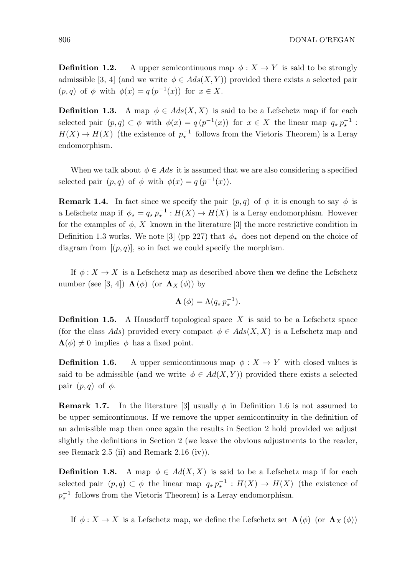**Definition 1.2.** A upper semicontinuous map  $\phi: X \to Y$  is said to be strongly admissible [3, 4] (and we write  $\phi \in Ads(X, Y)$ ) provided there exists a selected pair  $(p, q)$  of  $\phi$  with  $\phi(x) = q(p^{-1}(x))$  for  $x \in X$ .

**Definition 1.3.** A map  $\phi \in Ads(X, X)$  is said to be a Lefschetz map if for each selected pair  $(p,q) \subset \phi$  with  $\phi(x) = q(p^{-1}(x))$  for  $x \in X$  the linear map  $q_* p_*^{-1}$ :  $H(X) \to H(X)$  (the existence of  $p_{\star}^{-1}$  follows from the Vietoris Theorem) is a Leray endomorphism.

When we talk about  $\phi \in Ads$  it is assumed that we are also considering a specified selected pair  $(p, q)$  of  $\phi$  with  $\phi(x) = q(p^{-1}(x))$ .

**Remark 1.4.** In fact since we specify the pair  $(p,q)$  of  $\phi$  it is enough to say  $\phi$  is a Lefschetz map if  $\phi_{\star} = q_{\star} p_{\star}^{-1} : H(X) \to H(X)$  is a Leray endomorphism. However for the examples of  $\phi$ , X known in the literature [3] the more restrictive condition in Definition 1.3 works. We note [3] (pp 227) that  $\phi_{\star}$  does not depend on the choice of diagram from  $[(p, q)]$ , so in fact we could specify the morphism.

If  $\phi: X \to X$  is a Lefschetz map as described above then we define the Lefschetz number (see [3, 4])  $\Lambda(\phi)$  (or  $\Lambda_X(\phi)$ ) by

$$
\Lambda(\phi) = \Lambda(q_\star p_\star^{-1}).
$$

**Definition 1.5.** A Hausdorff topological space  $X$  is said to be a Lefschetz space (for the class Ads) provided every compact  $\phi \in Ads(X,X)$  is a Lefschetz map and  $\Lambda(\phi) \neq 0$  implies  $\phi$  has a fixed point.

**Definition 1.6.** A upper semicontinuous map  $\phi: X \to Y$  with closed values is said to be admissible (and we write  $\phi \in Ad(X, Y)$ ) provided there exists a selected pair  $(p, q)$  of  $\phi$ .

**Remark 1.7.** In the literature [3] usually  $\phi$  in Definition 1.6 is not assumed to be upper semicontinuous. If we remove the upper semicontinuity in the definition of an admissible map then once again the results in Section 2 hold provided we adjust slightly the definitions in Section 2 (we leave the obvious adjustments to the reader, see Remark 2.5 (ii) and Remark 2.16 (iv)).

**Definition 1.8.** A map  $\phi \in Ad(X, X)$  is said to be a Lefschetz map if for each selected pair  $(p,q) \subset \phi$  the linear map  $q_* p_*^{-1} : H(X) \to H(X)$  (the existence of  $p_{\star}^{-1}$  follows from the Vietoris Theorem) is a Leray endomorphism.

If  $\phi: X \to X$  is a Lefschetz map, we define the Lefschetz set  $\Lambda(\phi)$  (or  $\Lambda_X(\phi)$ )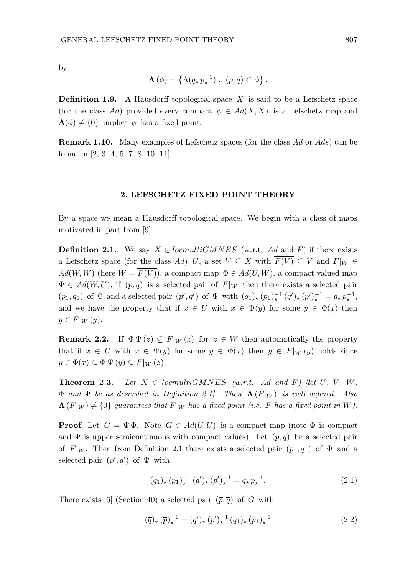by

$$
\Lambda(\phi) = \left\{ \Lambda(q_\star p_\star^{-1}) : (p,q) \subset \phi \right\}.
$$

**Definition 1.9.** A Hausdorff topological space  $X$  is said to be a Lefschetz space (for the class Ad) provided every compact  $\phi \in Ad(X, X)$  is a Lefschetz map and  $\Lambda(\phi) \neq \{0\}$  implies  $\phi$  has a fixed point.

Remark 1.10. Many examples of Lefschetz spaces (for the class Ad or Ads) can be found in [2, 3, 4, 5, 7, 8, 10, 11].

### 2. LEFSCHETZ FIXED POINT THEORY

By a space we mean a Hausdorff topological space. We begin with a class of maps motivated in part from [9].

**Definition 2.1.** We say  $X \in \text{locmultiGMNES}$  (w.r.t. Ad and F) if there exists a Lefschetz space (for the class Ad) U, a set  $V \subseteq X$  with  $\overline{F(V)} \subseteq V$  and  $F|_W \in$  $Ad(W, W)$  (here  $W = \overline{F(V)}$ ), a compact map  $\Phi \in Ad(U, W)$ , a compact valued map  $\Psi \in Ad(W, U)$ , if  $(p, q)$  is a selected pair of  $F|_W$  then there exists a selected pair  $(p_1, q_1)$  of  $\Phi$  and a selected pair  $(p', q')$  of  $\Psi$  with  $(q_1)_* (p_1)_*^{-1} (q')_* (p')_*^{-1} = q_* p_*^{-1}$ , and we have the property that if  $x \in U$  with  $x \in \Psi(y)$  for some  $y \in \Phi(x)$  then  $y \in F|_W(y).$ 

**Remark 2.2.** If  $\Phi \Psi(z) \subseteq F|_{W}(z)$  for  $z \in W$  then automatically the property that if  $x \in U$  with  $x \in \Psi(y)$  for some  $y \in \Phi(x)$  then  $y \in F|_W(y)$  holds since  $y \in \Phi(x) \subseteq \Phi \Psi (y) \subseteq F|_W (z).$ 

**Theorem 2.3.** Let  $X \in \text{locmultipH}(\mathbb{R})$  (w.r.t. Ad and F) [let U, V, W,  $\Phi$  and  $\Psi$  be as described in Definition 2.1. Then  $\Lambda(F|_W)$  is well defined. Also  $\Lambda(F|_W) \neq \{0\}$  guarantees that  $F|_W$  has a fixed point (i.e. F has a fixed point in W).

**Proof.** Let  $G = \Psi \Phi$ . Note  $G \in Ad(U, U)$  is a compact map (note  $\Phi$  is compact and  $\Psi$  is upper semicontinuous with compact values). Let  $(p, q)$  be a selected pair of  $F|_W$ . Then from Definition 2.1 there exists a selected pair  $(p_1, q_1)$  of  $\Phi$  and a selected pair  $(p', q')$  of  $\Psi$  with

$$
(q_1)_\star (p_1)_\star^{-1} (q')_\star (p')_\star^{-1} = q_\star p_\star^{-1}.
$$
 (2.1)

There exists [6] (Section 40) a selected pair  $(\overline{p}, \overline{q})$  of G with

$$
(\overline{q})_{\star} (\overline{p})_{\star}^{-1} = (q')_{\star} (p')_{\star}^{-1} (q_1)_{\star} (p_1)_{\star}^{-1}
$$
\n(2.2)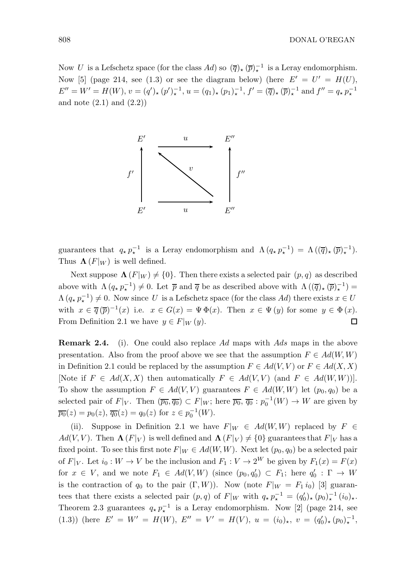Now U is a Lefschetz space (for the class  $Ad$ ) so  $(\overline{q})_{\star}(\overline{p})_{\star}^{-1}$  is a Leray endomorphism. Now [5] (page 214, see (1.3) or see the diagram below) (here  $E' = U' = H(U)$ ,  $E'' = W' = H(W), v = (q')_{\star} (p')_{\star}^{-1}, u = (q_1)_{\star} (p_1)_{\star}^{-1}, f' = (\overline{q})_{\star} (\overline{p})_{\star}^{-1}$  and  $f'' = q_{\star} p_{\star}^{-1}$ and note  $(2.1)$  and  $(2.2)$ 



guarantees that  $q_* p_*^{-1}$  is a Leray endomorphism and  $\Lambda (q_* p_*^{-1}) = \Lambda ((\overline{q})_*(\overline{p})_*^{-1}).$ Thus  $\Lambda(F|_W)$  is well defined.

Next suppose  $\Lambda(F|_W) \neq \{0\}$ . Then there exists a selected pair  $(p, q)$  as described above with  $\Lambda(q_{\star} p_{\star}^{-1}) \neq 0$ . Let  $\bar{p}$  and  $\bar{q}$  be as described above with  $\Lambda(\overline{q})_{\star}(\bar{p})_{\star}^{-1}) =$  $\Lambda(q, p_{\star}^{-1}) \neq 0$ . Now since U is a Lefschetz space (for the class Ad) there exists  $x \in U$ with  $x \in \overline{q}(\overline{p})^{-1}(x)$  i.e.  $x \in G(x) = \Psi \Phi(x)$ . Then  $x \in \Psi(y)$  for some  $y \in \Phi(x)$ . From Definition 2.1 we have  $y \in F|_W(y)$ . □

Remark 2.4. (i). One could also replace Ad maps with Ads maps in the above presentation. Also from the proof above we see that the assumption  $F \in Ad(W, W)$ in Definition 2.1 could be replaced by the assumption  $F \in Ad(V, V)$  or  $F \in Ad(X, X)$ [Note if  $F \in Ad(X, X)$  then automatically  $F \in Ad(V, V)$  (and  $F \in Ad(W, W)$ )]. To show the assumption  $F \in Ad(V, V)$  guarantees  $F \in Ad(W, W)$  let  $(p_0, q_0)$  be a selected pair of  $F|_V$ . Then  $(\overline{p_0}, \overline{q_0}) \subset F|_W$ ; here  $\overline{p_0}, \overline{q_0} : p_0^{-1}(W) \to W$  are given by  $\overline{p_0}(z) = p_0(z), \overline{q_0}(z) = q_0(z)$  for  $z \in p_0^{-1}(W)$ .

(ii). Suppose in Definition 2.1 we have  $F|_W \in Ad(W, W)$  replaced by  $F \in$  $Ad(V, V)$ . Then  $\Lambda(F|_V)$  is well defined and  $\Lambda(F|_V) \neq \{0\}$  guarantees that  $F|_V$  has a fixed point. To see this first note  $F|_W \in Ad(W, W)$ . Next let  $(p_0, q_0)$  be a selected pair of  $F|_V$ . Let  $i_0 : W \to V$  be the inclusion and  $F_1 : V \to 2^W$  be given by  $F_1(x) = F(x)$ for  $x \in V$ , and we note  $F_1 \in Ad(V, W)$  (since  $(p_0, q'_0) \subset F_1$ ; here  $q'_0 : \Gamma \to W$ is the contraction of  $q_0$  to the pair  $(\Gamma, W)$ ). Now (note  $F|_W = F_1 i_0$ ) [3] guarantees that there exists a selected pair  $(p,q)$  of  $F|_W$  with  $q_{\star} p_{\star}^{-1} = (q_0')_{\star} (p_0)_{\star}^{-1} (i_0)_{\star}$ . Theorem 2.3 guarantees  $q_{\star} p_{\star}^{-1}$  is a Leray endomorphism. Now [2] (page 214, see (1.3)) (here  $E' = W' = H(W)$ ,  $E'' = V' = H(V)$ ,  $u = (i_0)_*, v = (q'_0)_*(p_0)_*^{-1}$ ,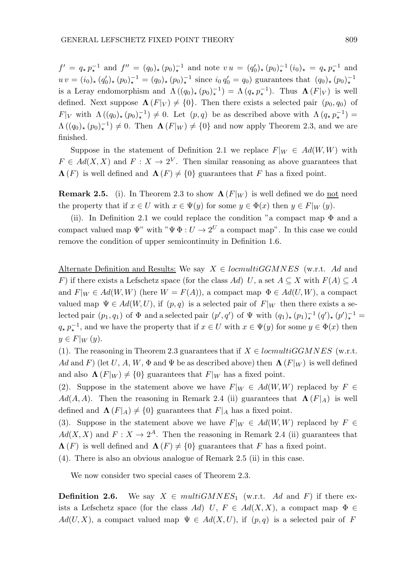$f' = q_{\star} p_{\star}^{-1}$  and  $f'' = (q_0)_{\star} (p_0)_{\star}^{-1}$  and note  $vu = (q'_0)_{\star} (p_0)_{\star}^{-1} (i_0)_{\star} = q_{\star} p_{\star}^{-1}$  and  $uv = (i_0)_*(q'_0)_*(p_0)_*^{-1} = (q_0)_*(p_0)_*^{-1}$  since  $i_0 q'_0 = q_0$  guarantees that  $(q_0)_*(p_0)_*^{-1}$ is a Leray endomorphism and  $\Lambda((q_0)_*(p_0)_*^{-1}) = \Lambda(q_* p_*^{-1})$ . Thus  $\Lambda(F|_V)$  is well defined. Next suppose  $\Lambda(F|_V) \neq \{0\}$ . Then there exists a selected pair  $(p_0, q_0)$  of  $F|_V$  with  $\Lambda((q_0)_*(p_0)_\star^{-1}) \neq 0$ . Let  $(p,q)$  be as described above with  $\Lambda(q_*; p_*^{-1}) =$  $\Lambda((q_0)_*(p_0)_\star^{-1})\neq 0$ . Then  $\Lambda(F|_W)\neq \{0\}$  and now apply Theorem 2.3, and we are finished.

Suppose in the statement of Definition 2.1 we replace  $F|_W \in Ad(W, W)$  with  $F \in Ad(X,X)$  and  $F: X \to 2^V$ . Then similar reasoning as above guarantees that  $\Lambda(F)$  is well defined and  $\Lambda(F) \neq \{0\}$  guarantees that F has a fixed point.

**Remark 2.5.** (i). In Theorem 2.3 to show  $\Lambda(F|W)$  is well defined we do not need the property that if  $x \in U$  with  $x \in \Psi(y)$  for some  $y \in \Phi(x)$  then  $y \in F|_W(y)$ .

(ii). In Definition 2.1 we could replace the condition "a compact map  $\Phi$  and a compact valued map  $\Psi$ " with " $\Psi \Phi : U \to 2^U$  a compact map". In this case we could remove the condition of upper semicontinuity in Definition 1.6.

Alternate Definition and Results: We say  $X \in *locmultiGGMNES*$  (w.r.t. Ad and F) if there exists a Lefschetz space (for the class Ad) U, a set  $A \subseteq X$  with  $F(A) \subseteq A$ and  $F|_W \in Ad(W, W)$  (here  $W = F(A)$ ), a compact map  $\Phi \in Ad(U, W)$ , a compact valued map  $\Psi \in Ad(W, U)$ , if  $(p, q)$  is a selected pair of  $F|_W$  then there exists a selected pair  $(p_1, q_1)$  of  $\Phi$  and a selected pair  $(p', q')$  of  $\Psi$  with  $(q_1)_*(p_1)_*^{-1}(q')_*(p')_*^{-1} =$  $q_{\star} p_{\star}^{-1}$ , and we have the property that if  $x \in U$  with  $x \in \Psi(y)$  for some  $y \in \Phi(x)$  then  $y \in F|_W(y).$ 

(1). The reasoning in Theorem 2.3 guarantees that if  $X \in \text{locmultigGMNES}$  (w.r.t. Ad and F) (let U, A, W,  $\Phi$  and  $\Psi$  be as described above) then  $\Lambda$  (F|w) is well defined and also  $\Lambda(F|_W) \neq \{0\}$  guarantees that  $F|_W$  has a fixed point.

(2). Suppose in the statement above we have  $F|_W \in Ad(W, W)$  replaced by  $F \in$  $Ad(A, A)$ . Then the reasoning in Remark 2.4 (ii) guarantees that  $\Lambda(F|_A)$  is well defined and  $\Lambda(F|_A) \neq \{0\}$  guarantees that  $F|_A$  has a fixed point.

(3). Suppose in the statement above we have  $F|_W \in Ad(W, W)$  replaced by  $F \in$  $Ad(X, X)$  and  $F: X \to 2^A$ . Then the reasoning in Remark 2.4 (ii) guarantees that  $\Lambda(F)$  is well defined and  $\Lambda(F) \neq \{0\}$  guarantees that F has a fixed point.

(4). There is also an obvious analogue of Remark 2.5 (ii) in this case.

We now consider two special cases of Theorem 2.3.

**Definition 2.6.** We say  $X \in multiGMNES_1$  (w.r.t. Ad and F) if there exists a Lefschetz space (for the class Ad) U,  $F \in Ad(X,X)$ , a compact map  $\Phi \in$  $Ad(U, X)$ , a compact valued map  $\Psi \in Ad(X, U)$ , if  $(p, q)$  is a selected pair of F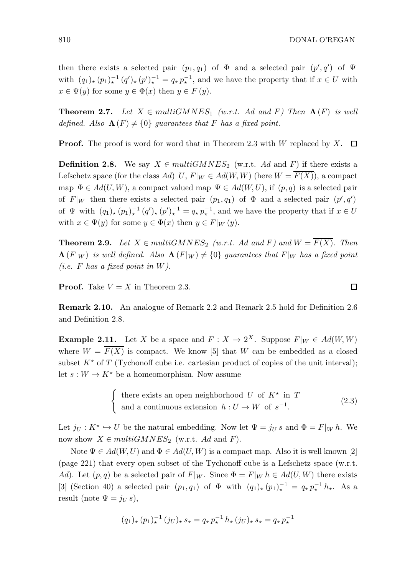then there exists a selected pair  $(p_1, q_1)$  of  $\Phi$  and a selected pair  $(p', q')$  of  $\Psi$ with  $(q_1)_*(p_1)_*^{-1}(q')_*(p')_*^{-1}=q_*p_*^{-1}$ , and we have the property that if  $x\in U$  with  $x \in \Psi(y)$  for some  $y \in \Phi(x)$  then  $y \in F(y)$ .

**Theorem 2.7.** Let  $X \in multiGMNES_1$  (w.r.t. Ad and F) Then  $\Lambda(F)$  is well defined. Also  $\Lambda(F) \neq \{0\}$  guarantees that F has a fixed point.

**Proof.** The proof is word for word that in Theorem 2.3 with  $W$  replaced by  $X$ .  $\Box$ 

**Definition 2.8.** We say  $X \in multiGMNES_2$  (w.r.t. Ad and F) if there exists a Lefschetz space (for the class Ad) U,  $F|_W \in Ad(W, W)$  (here  $W = \overline{F(X)}$ ), a compact map  $\Phi \in Ad(U, W)$ , a compact valued map  $\Psi \in Ad(W, U)$ , if  $(p, q)$  is a selected pair of  $F|_W$  then there exists a selected pair  $(p_1, q_1)$  of  $\Phi$  and a selected pair  $(p', q')$ of  $\Psi$  with  $(q_1)_*(p_1)_*^{-1}(q')_*(p')_*^{-1} = q_* p_*^{-1}$ , and we have the property that if  $x \in U$ with  $x \in \Psi(y)$  for some  $y \in \Phi(x)$  then  $y \in F|_{W}(y)$ .

**Theorem 2.9.** Let  $X \in multiGMNES_2$  (w.r.t. Ad and F) and  $W = \overline{F(X)}$ . Then  $\Lambda(F|_W)$  is well defined. Also  $\Lambda(F|_W) \neq \{0\}$  guarantees that  $F|_W$  has a fixed point (*i.e.*  $F$  has a fixed point in  $W$ ).

**Proof.** Take  $V = X$  in Theorem 2.3.

Remark 2.10. An analogue of Remark 2.2 and Remark 2.5 hold for Definition 2.6 and Definition 2.8.

**Example 2.11.** Let X be a space and  $F: X \to 2^X$ . Suppose  $F|_W \in Ad(W, W)$ where  $W = \overline{F(X)}$  is compact. We know [5] that W can be embedded as a closed subset  $K^*$  of T (Tychonoff cube i.e. cartesian product of copies of the unit interval); let  $s: W \to K^*$  be a homeomorphism. Now assume

> $\int$  there exists an open neighborhood U of  $K^*$  in T and a continuous extension  $h: U \to W$  of  $s^{-1}$ . (2.3)

Let  $j_U : K^* \hookrightarrow U$  be the natural embedding. Now let  $\Psi = j_U s$  and  $\Phi = F|_W h$ . We now show  $X \in multiGMNES_2$  (w.r.t. Ad and F).

Note  $\Psi \in Ad(W, U)$  and  $\Phi \in Ad(U, W)$  is a compact map. Also it is well known [2] (page 221) that every open subset of the Tychonoff cube is a Lefschetz space (w.r.t. Ad). Let  $(p, q)$  be a selected pair of  $F|_W$ . Since  $\Phi = F|_W h \in Ad(U, W)$  there exists [3] (Section 40) a selected pair  $(p_1, q_1)$  of  $\Phi$  with  $(q_1)_\star (p_1)_\star^{-1} = q_\star p_\star^{-1} h_\star$ . As a result (note  $\Psi = j_U s$ ),

$$
(q_1)_\star\,(p_1)^{-1}_\star\,(j_U)_\star\,s_\star = q_\star\,p_\star^{-1}\,h_\star\,(j_U)_\star\,s_\star = q_\star\,p_\star^{-1}
$$

 $\Box$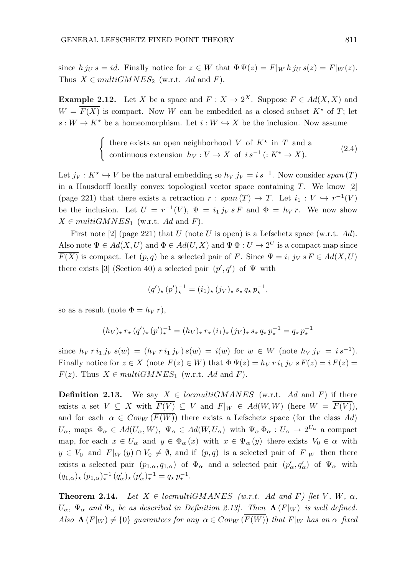since  $h j_U s = id$ . Finally notice for  $z \in W$  that  $\Phi \Psi(z) = F|_W h j_U s(z) = F|_W(z)$ . Thus  $X \in multiGMNES_2$  (w.r.t. Ad and F).

**Example 2.12.** Let X be a space and  $F: X \to 2^X$ . Suppose  $F \in Ad(X, X)$  and  $W = \overline{F(X)}$  is compact. Now W can be embedded as a closed subset  $K^*$  of T; let  $s: W \to K^*$  be a homeomorphism. Let  $i: W \hookrightarrow X$  be the inclusion. Now assume

$$
\begin{cases} \text{there exists an open neighborhood } V \text{ of } K^* \text{ in } T \text{ and a} \\ \text{continuous extension } h_V: V \to X \text{ of } i s^{-1} ( : K^* \to X ). \end{cases} \tag{2.4}
$$

Let  $j_V : K^* \hookrightarrow V$  be the natural embedding so  $h_V j_V = i s^{-1}$ . Now consider span  $(T)$ in a Hausdorff locally convex topological vector space containing  $T$ . We know [2] (page 221) that there exists a retraction  $r: span(T) \to T$ . Let  $i_1: V \hookrightarrow r^{-1}(V)$ be the inclusion. Let  $U = r^{-1}(V)$ ,  $\Psi = i_1 j_V s F$  and  $\Phi = h_V r$ . We now show  $X \in multiGMNES<sub>1</sub>$  (w.r.t. Ad and F).

First note  $[2]$  (page 221) that U (note U is open) is a Lefschetz space (w.r.t. Ad). Also note  $\Psi \in Ad(X, U)$  and  $\Phi \in Ad(U, X)$  and  $\Psi \Phi : U \to 2^U$  is a compact map since  $\overline{F(X)}$  is compact. Let  $(p,q)$  be a selected pair of F. Since  $\Psi = i_1 j_V s F \in Ad(X,U)$ there exists [3] (Section 40) a selected pair  $(p', q')$  of  $\Psi$  with

$$
(q')_\star\,(p')_\star^{-1}=(i_1)_\star\,(j_V)_\star\,s_\star\,q_\star\,p_\star^{-1},
$$

so as a result (note  $\Phi = h_V r$ ),

$$
(h_V)_\star \, r_\star \, (q')_\star \, (p')_\star^{-1} = (h_V)_\star \, r_\star \, (i_1)_\star \, (j_V)_\star \, s_\star \, q_\star \, p_\star^{-1} = q_\star \, p_\star^{-1}
$$

since  $h_V r i_1 j_V s(w) = (h_V r i_1 j_V) s(w) = i(w)$  for  $w \in W$  (note  $h_V j_V = i s^{-1}$ ). Finally notice for  $z \in X$  (note  $F(z) \in W$ ) that  $\Phi \Psi(z) = h_V r i_1 j_V s F(z) = i F(z)$  $F(z)$ . Thus  $X \in multiGMNES_1$  (w.r.t. Ad and F).

**Definition 2.13.** We say  $X \in *locmultiGMANES*$  (w.r.t. Ad and F) if there exists a set  $V \subseteq X$  with  $\overline{F(V)} \subseteq V$  and  $F|_W \in Ad(W, W)$  (here  $W = \overline{F(V)}$ ), and for each  $\alpha \in Cov_W(\overline{F(W)})$  there exists a Lefschetz space (for the class Ad)  $U_{\alpha}$ , maps  $\Phi_{\alpha} \in Ad(U_{\alpha}, W)$ ,  $\Psi_{\alpha} \in Ad(W, U_{\alpha})$  with  $\Psi_{\alpha} \Phi_{\alpha} : U_{\alpha} \to 2^{U_{\alpha}}$  a compact map, for each  $x \in U_\alpha$  and  $y \in \Phi_\alpha(x)$  with  $x \in \Psi_\alpha(y)$  there exists  $V_0 \in \alpha$  with  $y \in V_0$  and  $F|_W(y) \cap V_0 \neq \emptyset$ , and if  $(p,q)$  is a selected pair of  $F|_W$  then there exists a selected pair  $(p_{1,\alpha}, q_{1,\alpha})$  of  $\Phi_{\alpha}$  and a selected pair  $(p'_{\alpha}, q'_{\alpha})$  of  $\Psi_{\alpha}$  with  $(q_{1,\alpha})_{\star} (p_{1,\alpha})_{\star}^{-1} (q'_{\alpha})_{\star} (p'_{\alpha})_{\star}^{-1} = q_{\star} p_{\star}^{-1}.$ 

**Theorem 2.14.** Let  $X \in \text{locmultipKANES}$  (w.r.t. Ad and F) [let V, W,  $\alpha$ ,  $U_{\alpha}$ ,  $\Psi_{\alpha}$  and  $\Phi_{\alpha}$  be as described in Definition 2.13. Then  $\Lambda(F|_W)$  is well defined. Also  $\Lambda(F|_W) \neq \{0\}$  guarantees for any  $\alpha \in Cov_W(\overline{F(W)})$  that  $F|_W$  has an  $\alpha$ -fixed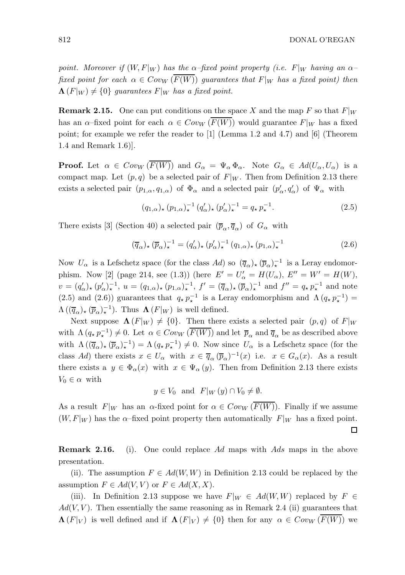□

point. Moreover if  $(W, F|_W)$  has the  $\alpha$ -fixed point property (i.e. F|w having an  $\alpha$ fixed point for each  $\alpha \in Cov_W(\overline{F(W)})$  guarantees that  $F|_W$  has a fixed point) then  $\Lambda(F|_W) \neq \{0\}$  guarantees  $F|_W$  has a fixed point.

**Remark 2.15.** One can put conditions on the space X and the map F so that  $F|_W$ has an  $\alpha$ –fixed point for each  $\alpha \in Cov_W(F(W))$  would guarantee  $F|_W$  has a fixed point; for example we refer the reader to [1] (Lemma 1.2 and 4.7) and [6] (Theorem 1.4 and Remark 1.6)].

**Proof.** Let  $\alpha \in \text{Cov}_W(\overline{F(W)})$  and  $G_\alpha = \Psi_\alpha \Phi_\alpha$ . Note  $G_\alpha \in \text{Ad}(U_\alpha, U_\alpha)$  is a compact map. Let  $(p, q)$  be a selected pair of  $F|_W$ . Then from Definition 2.13 there exists a selected pair  $(p_{1,\alpha}, q_{1,\alpha})$  of  $\Phi_{\alpha}$  and a selected pair  $(p'_{\alpha}, q'_{\alpha})$  of  $\Psi_{\alpha}$  with

$$
(q_{1,\alpha})_{\star} (p_{1,\alpha})_{\star}^{-1} (q_{\alpha}')_{\star} (p_{\alpha}')_{\star}^{-1} = q_{\star} p_{\star}^{-1}.
$$
 (2.5)

There exists [3] (Section 40) a selected pair  $(\overline{p}_{\alpha}, \overline{q}_{\alpha})$  of  $G_{\alpha}$  with

$$
(\overline{q}_{\alpha})_{\star} (\overline{p}_{\alpha})_{\star}^{-1} = (q_{\alpha}')_{\star} (p_{\alpha}')_{\star}^{-1} (q_{1,\alpha})_{\star} (p_{1,\alpha})_{\star}^{-1}
$$
\n(2.6)

Now  $U_{\alpha}$  is a Lefschetz space (for the class Ad) so  $(\overline{q}_{\alpha})_{\star}$   $(\overline{p}_{\alpha})_{\star}^{-1}$  is a Leray endomorphism. Now [2] (page 214, see (1.3)) (here  $E' = U'_{\alpha} = H(U_{\alpha})$ ,  $E'' = W' = H(W)$ ,  $v = (q'_\alpha)_\star (p'_\alpha)_\star^{-1}, u = (q_{1,\alpha})_\star (p_{1,\alpha})_\star^{-1}, f' = (\overline{q}_\alpha)_\star (\overline{p}_\alpha)_\star^{-1}$  and  $f'' = q_\star p_\star^{-1}$  and note (2.5) and (2.6)) guarantees that  $q_{\star} p_{\star}^{-1}$  is a Leray endomorphism and  $\Lambda (q_{\star} p_{\star}^{-1}) =$  $\Lambda\left(\left(\overline{q}_{\alpha}\right)_{\star}\left(\overline{p}_{\alpha}\right)_{\star}^{-1}\right)$ . Thus  $\Lambda\left(F|_{W}\right)$  is well defined.

Next suppose  $\Lambda(F|_W) \neq \{0\}$ . Then there exists a selected pair  $(p,q)$  of  $F|_W$ with  $\Lambda(q, p_\star^{-1}) \neq 0$ . Let  $\alpha \in Cov_W(\overline{F(W)})$  and let  $\overline{p}_\alpha$  and  $\overline{q}_\alpha$  be as described above with  $\Lambda(\overline{(q}_{\alpha})_{\star}(\overline{p}_{\alpha})_{\star}^{-1}) = \Lambda(q_{\star}p_{\star}^{-1}) \neq 0$ . Now since  $U_{\alpha}$  is a Lefschetz space (for the class Ad) there exists  $x \in U_\alpha$  with  $x \in \overline{q}_\alpha(\overline{p}_\alpha)^{-1}(x)$  i.e.  $x \in G_\alpha(x)$ . As a result there exists a  $y \in \Phi_{\alpha}(x)$  with  $x \in \Psi_{\alpha}(y)$ . Then from Definition 2.13 there exists  $V_0 \in \alpha$  with

 $y \in V_0$  and  $F|_W(y) \cap V_0 \neq \emptyset$ .

As a result  $F|_W$  has an  $\alpha$ -fixed point for  $\alpha \in Cov_W(\overline{F(W)})$ . Finally if we assume  $(W, F|_W)$  has the  $\alpha$ -fixed point property then automatically  $F|_W$  has a fixed point.

**Remark 2.16.** (i). One could replace Ad maps with Ads maps in the above presentation.

(ii). The assumption  $F \in Ad(W, W)$  in Definition 2.13 could be replaced by the assumption  $F \in Ad(V, V)$  or  $F \in Ad(X, X)$ .

(iii). In Definition 2.13 suppose we have  $F|_W \in Ad(W, W)$  replaced by  $F \in$  $Ad(V, V)$ . Then essentially the same reasoning as in Remark 2.4 (ii) guarantees that  $\Lambda(F|_V)$  is well defined and if  $\Lambda(F|_V) \neq \{0\}$  then for any  $\alpha \in Cov_W(\overline{F(W)})$  we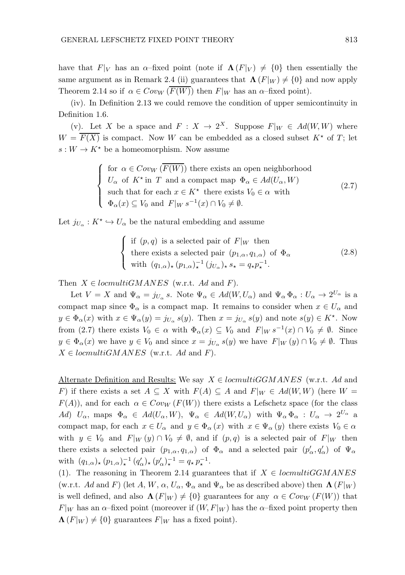have that  $F|_V$  has an  $\alpha$ –fixed point (note if  $\Lambda(F|_V) \neq \{0\}$  then essentially the same argument as in Remark 2.4 (ii) guarantees that  $\Lambda(F|_W) \neq \{0\}$  and now apply Theorem 2.14 so if  $\alpha \in Cov_W(\overline{F(W)})$  then  $F|_W$  has an  $\alpha$ -fixed point).

(iv). In Definition 2.13 we could remove the condition of upper semicontinuity in Definition 1.6.

(v). Let X be a space and  $F: X \to 2^X$ . Suppose  $F|_W \in Ad(W, W)$  where  $W = \overline{F(X)}$  is compact. Now W can be embedded as a closed subset  $K^*$  of T; let  $s: W \to K^*$  be a homeomorphism. Now assume

> $\sqrt{ }$  $\int$  $\overline{\mathcal{L}}$ for  $\alpha \in Cov_W(F(W))$  there exists an open neighborhood  $U_{\alpha}$  of  $K^*$  in T and a compact map  $\Phi_{\alpha} \in Ad(U_{\alpha}, W)$ such that for each  $x \in K^*$  there exists  $V_0 \in \alpha$  with  $\Phi_{\alpha}(x) \subseteq V_0$  and  $F|_W s^{-1}(x) \cap V_0 \neq \emptyset$ . (2.7)

Let  $j_{U_{\alpha}} : K^* \hookrightarrow U_{\alpha}$  be the natural embedding and assume

$$
\begin{cases}\n\text{if } (p,q) \text{ is a selected pair of } F|_W \text{ then} \\
\text{there exists a selected pair } (p_{1,\alpha}, q_{1,\alpha}) \text{ of } \Phi_\alpha \\
\text{with } (q_{1,\alpha})_\star (p_{1,\alpha})_\star^{-1} (j_{U_\alpha})_\star s_\star = q_\star p_\star^{-1}.\n\end{cases}
$$
\n(2.8)

Then  $X \in *locmultiGMANES*$  (w.r.t. Ad and F).

Let  $V = X$  and  $\Psi_{\alpha} = j_{U_{\alpha}} s$ . Note  $\Psi_{\alpha} \in Ad(W, U_{\alpha})$  and  $\Psi_{\alpha} \Phi_{\alpha} : U_{\alpha} \to 2^{U_{\alpha}}$  is a compact map since  $\Phi_{\alpha}$  is a compact map. It remains to consider when  $x \in U_{\alpha}$  and  $y \in \Phi_{\alpha}(x)$  with  $x \in \Psi_{\alpha}(y) = j_{U_{\alpha}} s(y)$ . Then  $x = j_{U_{\alpha}} s(y)$  and note  $s(y) \in K^*$ . Now from (2.7) there exists  $V_0 \in \alpha$  with  $\Phi_{\alpha}(x) \subseteq V_0$  and  $F|_W s^{-1}(x) \cap V_0 \neq \emptyset$ . Since  $y \in \Phi_{\alpha}(x)$  we have  $y \in V_0$  and since  $x = j_{U_{\alpha}} s(y)$  we have  $F|_W(y) \cap V_0 \neq \emptyset$ . Thus  $X \in *locmultiGMANES*$  (w.r.t. Ad and F).

Alternate Definition and Results: We say  $X \in \text{locmultigGMMES}$  (w.r.t. Ad and F) if there exists a set  $A \subseteq X$  with  $F(A) \subseteq A$  and  $F|_W \in Ad(W, W)$  (here  $W =$  $F(A)$ , and for each  $\alpha \in Cov_W(F(W))$  there exists a Lefschetz space (for the class Ad)  $U_{\alpha}$ , maps  $\Phi_{\alpha} \in Ad(U_{\alpha}, W)$ ,  $\Psi_{\alpha} \in Ad(W, U_{\alpha})$  with  $\Psi_{\alpha} \Phi_{\alpha} : U_{\alpha} \to 2^{U_{\alpha}}$  a compact map, for each  $x \in U_\alpha$  and  $y \in \Phi_\alpha(x)$  with  $x \in \Psi_\alpha(y)$  there exists  $V_0 \in \alpha$ with  $y \in V_0$  and  $F|_W(y) \cap V_0 \neq \emptyset$ , and if  $(p,q)$  is a selected pair of  $F|_W$  then there exists a selected pair  $(p_{1,\alpha}, q_{1,\alpha})$  of  $\Phi_{\alpha}$  and a selected pair  $(p'_{\alpha}, q'_{\alpha})$  of  $\Psi_{\alpha}$ with  $(q_{1,\alpha})_{\star} (p_{1,\alpha})_{\star}^{-1} (q'_{\alpha})_{\star} (p'_{\alpha})_{\star}^{-1} = q_{\star} p_{\star}^{-1}$ .

(1). The reasoning in Theorem 2.14 guarantees that if  $X \in *locmultiGGMANES*$ (w.r.t. Ad and F) (let A, W,  $\alpha$ ,  $U_{\alpha}$ ,  $\Phi_{\alpha}$  and  $\Psi_{\alpha}$  be as described above) then  $\Lambda$  (F|w) is well defined, and also  $\Lambda(F|_W) \neq \{0\}$  guarantees for any  $\alpha \in Cov_W(F(W))$  that  $F|_W$  has an  $\alpha$ –fixed point (moreover if  $(W, F|_W)$ ) has the  $\alpha$ –fixed point property then  $\Lambda(F|_W) \neq \{0\}$  guarantees  $F|_W$  has a fixed point).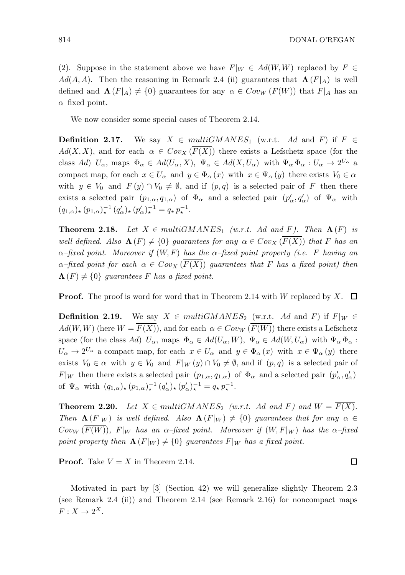(2). Suppose in the statement above we have  $F|_W \in Ad(W, W)$  replaced by  $F \in$  $Ad(A, A)$ . Then the reasoning in Remark 2.4 (ii) guarantees that  $\Lambda(F|_A)$  is well defined and  $\Lambda(F|_A) \neq \{0\}$  guarantees for any  $\alpha \in Cov_W(F(W))$  that  $F|_A$  has an  $\alpha$ –fixed point.

We now consider some special cases of Theorem 2.14.

**Definition 2.17.** We say  $X \in multiGMANES_1$  (w.r.t. Ad and F) if  $F \in$  $Ad(X, X)$ , and for each  $\alpha \in Cov_X(\overline{F(X)})$  there exists a Lefschetz space (for the class Ad)  $U_{\alpha}$ , maps  $\Phi_{\alpha} \in Ad(U_{\alpha}, X)$ ,  $\Psi_{\alpha} \in Ad(X, U_{\alpha})$  with  $\Psi_{\alpha} \Phi_{\alpha} : U_{\alpha} \to 2^{U_{\alpha}}$  a compact map, for each  $x \in U_\alpha$  and  $y \in \Phi_\alpha(x)$  with  $x \in \Psi_\alpha(y)$  there exists  $V_0 \in \alpha$ with  $y \in V_0$  and  $F(y) \cap V_0 \neq \emptyset$ , and if  $(p,q)$  is a selected pair of F then there exists a selected pair  $(p_{1,\alpha}, q_{1,\alpha})$  of  $\Phi_{\alpha}$  and a selected pair  $(p'_{\alpha}, q'_{\alpha})$  of  $\Psi_{\alpha}$  with  $(q_{1,\alpha})_{\star} (p_{1,\alpha})_{\star}^{-1} (q'_{\alpha})_{\star} (p'_{\alpha})_{\star}^{-1} = q_{\star} p_{\star}^{-1}.$ 

**Theorem 2.18.** Let  $X \in multiGMANES_1$  (w.r.t. Ad and F). Then  $\Lambda(F)$  is well defined. Also  $\Lambda(F) \neq \{0\}$  guarantees for any  $\alpha \in Cov_X(F(X))$  that F has an  $\alpha$ –fixed point. Moreover if  $(W, F)$  has the  $\alpha$ –fixed point property (i.e. F having an  $\alpha$ –fixed point for each  $\alpha \in Cov_X(F(X))$  guarantees that F has a fixed point) then  $\Lambda(F) \neq \{0\}$  guarantees F has a fixed point.

**Proof.** The proof is word for word that in Theorem 2.14 with W replaced by X.  $\Box$ 

**Definition 2.19.** We say  $X \in multiGMANES_2$  (w.r.t. Ad and F) if  $F|_W \in$  $Ad(W, W)$  (here  $W = \overline{F(X)}$ ), and for each  $\alpha \in Cov_W(\overline{F(W)})$  there exists a Lefschetz space (for the class Ad)  $U_{\alpha}$ , maps  $\Phi_{\alpha} \in Ad(U_{\alpha}, W)$ ,  $\Psi_{\alpha} \in Ad(W, U_{\alpha})$  with  $\Psi_{\alpha} \Phi_{\alpha}$ :  $U_{\alpha} \to 2^{U_{\alpha}}$  a compact map, for each  $x \in U_{\alpha}$  and  $y \in \Phi_{\alpha}(x)$  with  $x \in \Psi_{\alpha}(y)$  there exists  $V_0 \in \alpha$  with  $y \in V_0$  and  $F|_W(y) \cap V_0 \neq \emptyset$ , and if  $(p, q)$  is a selected pair of  $F|_W$  then there exists a selected pair  $(p_{1,\alpha}, q_{1,\alpha})$  of  $\Phi_\alpha$  and a selected pair  $(p'_\alpha, q'_\alpha)$ of  $\Psi_{\alpha}$  with  $(q_{1,\alpha})_{\star} (p_{1,\alpha})_{\star}^{-1} (q'_{\alpha})_{\star} (p'_{\alpha})_{\star}^{-1} = q_{\star} p_{\star}^{-1}$ .

**Theorem 2.20.** Let  $X \in multiGMANES_2$  (w.r.t. Ad and F) and  $W = \overline{F(X)}$ . Then  $\Lambda(F|_W)$  is well defined. Also  $\Lambda(F|_W) \neq \{0\}$  guarantees that for any  $\alpha \in$  $Cov_W(\overline{F(W)})$ ,  $F|_W$  has an  $\alpha$ -fixed point. Moreover if  $(W, F|_W)$  has the  $\alpha$ -fixed point property then  $\Lambda(F|_W) \neq \{0\}$  guarantees  $F|_W$  has a fixed point.

**Proof.** Take  $V = X$  in Theorem 2.14.

Motivated in part by [3] (Section 42) we will generalize slightly Theorem 2.3 (see Remark 2.4 (ii)) and Theorem 2.14 (see Remark 2.16) for noncompact maps  $F: X \to 2^X$ .

□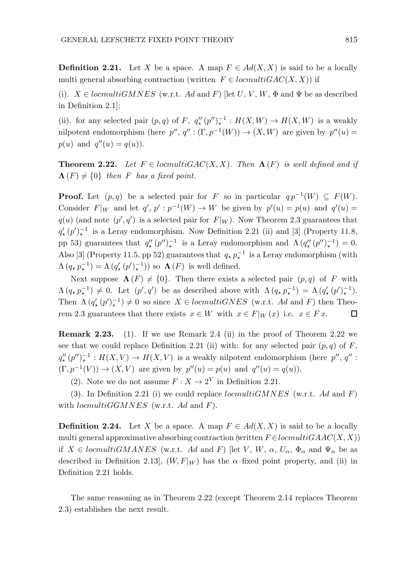**Definition 2.21.** Let X be a space. A map  $F \in Ad(X, X)$  is said to be a locally multi general absorbing contraction (written  $F \in *locmultiGAC*(X, X)$ ) if

(i).  $X \in \text{locmultiGMNES}$  (w.r.t. Ad and F) [let U, V, W,  $\Phi$  and  $\Psi$  be as described in Definition 2.1];

(ii). for any selected pair  $(p, q)$  of F,  $q''_{*}(p'')_{*}^{-1}: H(X, W) \to H(X, W)$  is a weakly nilpotent endomorphism (here  $p''$ ,  $q'' : (\Gamma, p^{-1}(W)) \to (X, W)$  are given by  $p''(u) =$  $p(u)$  and  $q''(u) = q(u)$ .

**Theorem 2.22.** Let  $F \in \text{locmultiGAC}(X, X)$ . Then  $\Lambda(F)$  is well defined and if  $\Lambda(F) \neq \{0\}$  then F has a fixed point.

**Proof.** Let  $(p,q)$  be a selected pair for F so in particular  $q p^{-1}(W) \subseteq F(W)$ . Consider  $F|_W$  and let  $q', p' : p^{-1}(W) \to W$  be given by  $p'(u) = p(u)$  and  $q'(u) =$  $q(u)$  (and note  $(p', q')$  is a selected pair for  $F|_W$ ). Now Theorem 2.3 guarantees that  $q'_{\star}(p')_{\star}^{-1}$  is a Leray endomorphism. Now Definition 2.21 (ii) and [3] (Property 11.8, pp 53) guarantees that  $q''_{*}(p'')_{*}^{-1}$  is a Leray endomorphism and  $\Lambda (q''_{*}(p'')_{*}^{-1}) = 0$ . Also [3] (Property 11.5, pp 52) guarantees that  $q_{\star} p_{\star}^{-1}$  is a Leray endomorphism (with  $\Lambda(q, p_\star^{-1}) = \Lambda(q'_\star(p')_\star^{-1})$  so  $\Lambda(F)$  is well defined.

Next suppose  $\Lambda(F) \neq \{0\}$ . Then there exists a selected pair  $(p,q)$  of F with  $\Lambda(q_{\star} p_{\star}^{-1}) \neq 0$ . Let  $(p', q')$  be as described above with  $\Lambda(q_{\star} p_{\star}^{-1}) = \Lambda(q'_{\star}(p')_{\star}^{-1})$ . Then  $\Lambda(q'_{\star}(p')_{\star}^{-1}) \neq 0$  so since  $X \in \text{locmultiGNES}$  (w.r.t. Ad and F) then Theorem 2.3 guarantees that there exists  $x \in W$  with  $x \in F|_{W}(x)$  i.e.  $x \in Fx$ .  $\Box$ 

Remark 2.23. (1). If we use Remark 2.4 (ii) in the proof of Theorem 2.22 we see that we could replace Definition 2.21 (ii) with: for any selected pair  $(p, q)$  of F,  $q''_{\star}(p'')_{\star}^{-1}: H(X,V) \to H(X,V)$  is a weakly nilpotent endomorphism (here  $p'', q''$ :  $(\Gamma, p^{-1}(V)) \to (X, V)$  are given by  $p''(u) = p(u)$  and  $q''(u) = q(u)$ .

(2). Note we do not assume  $F: X \to 2^V$  in Definition 2.21.

(3). In Definition 2.21 (i) we could replace  $locmultiGMNES$  (w.r.t. Ad and F) with  $locmultiGGMNES$  (w.r.t. Ad and F).

**Definition 2.24.** Let X be a space. A map  $F \in Ad(X, X)$  is said to be a locally multi general approximative absorbing contraction (written  $F \in \text{locmulti} GAAC(X, X)$ ) if  $X \in \text{locmultiGMANES}$  (w.r.t. Ad and F) [let V, W,  $\alpha$ ,  $U_{\alpha}$ ,  $\Phi_{\alpha}$  and  $\Psi_{\alpha}$  be as described in Definition 2.13],  $(W, F|_W)$  has the  $\alpha$ -fixed point property, and (ii) in Definition 2.21 holds.

The same reasoning as in Theorem 2.22 (except Theorem 2.14 replaces Theorem 2.3) establishes the next result.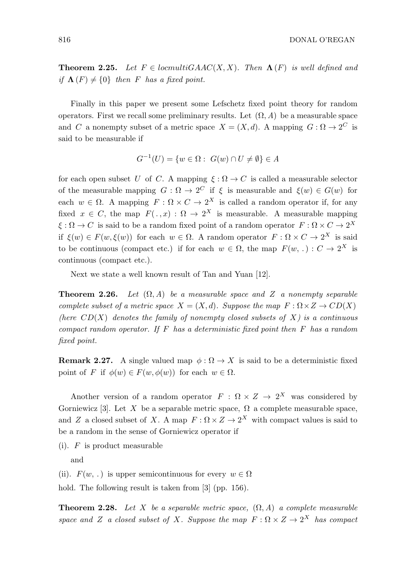816 DONAL O'REGAN

**Theorem 2.25.** Let  $F \in \text{locmultiped}(X, X)$ . Then  $\Lambda(F)$  is well defined and if  $\Lambda(F) \neq \{0\}$  then F has a fixed point.

Finally in this paper we present some Lefschetz fixed point theory for random operators. First we recall some preliminary results. Let  $(\Omega, A)$  be a measurable space and C a nonempty subset of a metric space  $X = (X, d)$ . A mapping  $G : \Omega \to 2^C$  is said to be measurable if

$$
G^{-1}(U) = \{ w \in \Omega : G(w) \cap U \neq \emptyset \} \in A
$$

for each open subset U of C. A mapping  $\xi : \Omega \to C$  is called a measurable selector of the measurable mapping  $G: \Omega \to 2^C$  if  $\xi$  is measurable and  $\xi(w) \in G(w)$  for each  $w \in \Omega$ . A mapping  $F : \Omega \times C \to 2^X$  is called a random operator if, for any fixed  $x \in C$ , the map  $F(. , x) : \Omega \to 2^X$  is measurable. A measurable mapping  $\xi : \Omega \to C$  is said to be a random fixed point of a random operator  $F : \Omega \times C \to 2^X$ if  $\xi(w) \in F(w, \xi(w))$  for each  $w \in \Omega$ . A random operator  $F : \Omega \times C \to 2^X$  is said to be continuous (compact etc.) if for each  $w \in \Omega$ , the map  $F(w, .) : C \to 2^X$  is continuous (compact etc.).

Next we state a well known result of Tan and Yuan [12].

**Theorem 2.26.** Let  $(\Omega, A)$  be a measurable space and Z a nonempty separable complete subset of a metric space  $X = (X, d)$ . Suppose the map  $F : \Omega \times Z \to CD(X)$ (here  $CD(X)$  denotes the family of nonempty closed subsets of X) is a continuous compact random operator. If  $F$  has a deterministic fixed point then  $F$  has a random fixed point.

**Remark 2.27.** A single valued map  $\phi : \Omega \to X$  is said to be a deterministic fixed point of F if  $\phi(w) \in F(w, \phi(w))$  for each  $w \in \Omega$ .

Another version of a random operator  $F : \Omega \times Z \to 2^X$  was considered by Gorniewicz [3]. Let X be a separable metric space,  $\Omega$  a complete measurable space, and Z a closed subset of X. A map  $F : \Omega \times Z \to 2^X$  with compact values is said to be a random in the sense of Gorniewicz operator if

 $(i)$ . F is product measurable

and

(ii).  $F(w, .)$  is upper semicontinuous for every  $w \in \Omega$ 

hold. The following result is taken from [3] (pp. 156).

**Theorem 2.28.** Let X be a separable metric space,  $(\Omega, A)$  a complete measurable space and Z a closed subset of X. Suppose the map  $F : \Omega \times Z \to 2^X$  has compact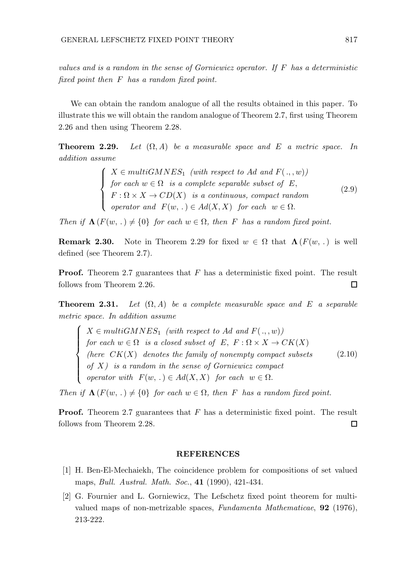$\sqrt{ }$  $\int$ 

 $\overline{\mathcal{L}}$ 

values and is a random in the sense of Gorniewicz operator. If  $F$  has a deterministic fixed point then F has a random fixed point.

We can obtain the random analogue of all the results obtained in this paper. To illustrate this we will obtain the random analogue of Theorem 2.7, first using Theorem 2.26 and then using Theorem 2.28.

**Theorem 2.29.** Let  $(\Omega, A)$  be a measurable space and E a metric space. In addition assume

> $\sqrt{ }$  $\int$  $\overline{\mathcal{L}}$  $X \in multiGMNES<sub>1</sub> (with respect to Ad and  $F(., w)$ )$ for each  $w \in \Omega$  is a complete separable subset of  $E$ ,  $F: \Omega \times X \to CD(X)$  is a continuous, compact random operator and  $F(w,.) \in Ad(X,X)$  for each  $w \in \Omega$ . (2.9)

Then if  $\Lambda(F(w, .) \neq \{0\}$  for each  $w \in \Omega$ , then F has a random fixed point.

**Remark 2.30.** Note in Theorem 2.29 for fixed  $w \in \Omega$  that  $\Lambda(F(w, .))$  is well defined (see Theorem 2.7).

**Proof.** Theorem 2.7 guarantees that  $F$  has a deterministic fixed point. The result follows from Theorem 2.26.  $\Box$ 

**Theorem 2.31.** Let  $(\Omega, A)$  be a complete measurable space and E a separable metric space. In addition assume

 $X \in multiGMNES<sub>1</sub> (with respect to Ad and  $F(., w)$ )$ for each  $w \in \Omega$  is a closed subset of  $E, F: \Omega \times X \to CK(X)$ (here  $CK(X)$  denotes the family of nonempty compact subsets of  $X$ ) is a random in the sense of Gorniewicz compact operator with  $F(w,.) \in Ad(X,X)$  for each  $w \in \Omega$ . (2.10)

Then if  $\Lambda(F(w, .) \neq \{0\}$  for each  $w \in \Omega$ , then F has a random fixed point.

Proof. Theorem 2.7 guarantees that F has a deterministic fixed point. The result follows from Theorem 2.28.  $\Box$ 

### **REFERENCES**

- [1] H. Ben-El-Mechaiekh, The coincidence problem for compositions of set valued maps, Bull. Austral. Math. Soc., 41 (1990), 421-434.
- [2] G. Fournier and L. Gorniewicz, The Lefschetz fixed point theorem for multivalued maps of non-metrizable spaces, Fundamenta Mathematicae, 92 (1976), 213-222.